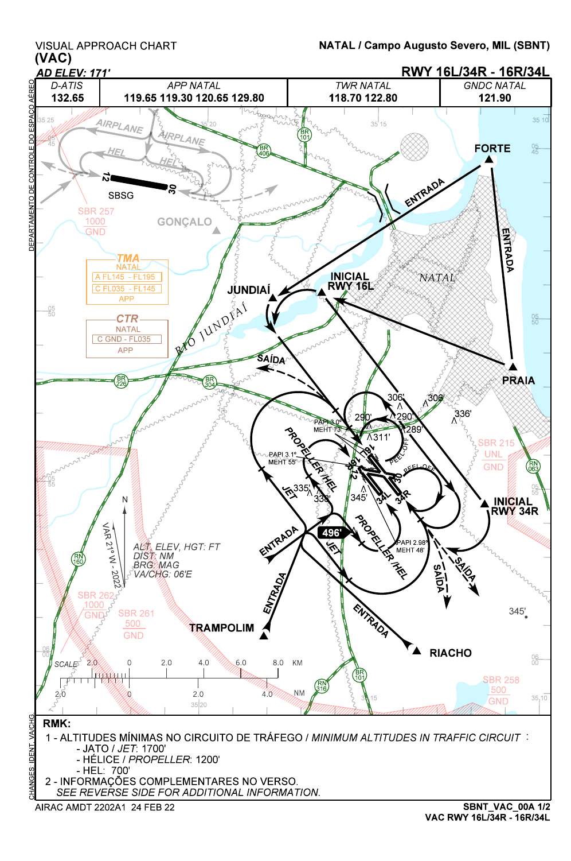VISUAL APPROACH CHART